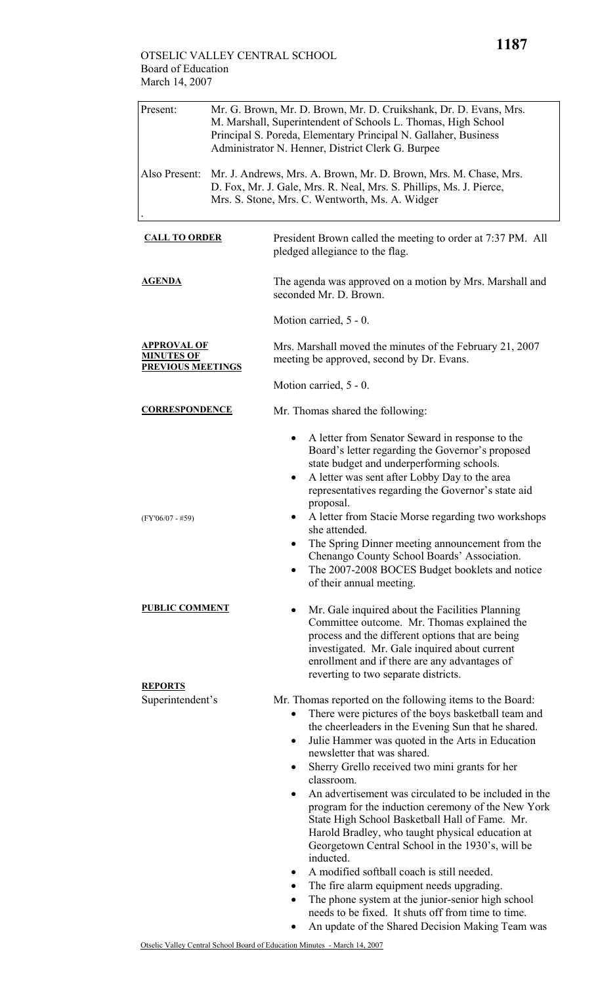| Present:                                                            | Mr. G. Brown, Mr. D. Brown, Mr. D. Cruikshank, Dr. D. Evans, Mrs.<br>M. Marshall, Superintendent of Schools L. Thomas, High School<br>Principal S. Poreda, Elementary Principal N. Gallaher, Business<br>Administrator N. Henner, District Clerk G. Burpee |                                                                                                                                                                                                                                                                                                                                                                                                                                                                                                                                                                                                                                                                                                                                                                                                                                                                                                  |  |  |
|---------------------------------------------------------------------|------------------------------------------------------------------------------------------------------------------------------------------------------------------------------------------------------------------------------------------------------------|--------------------------------------------------------------------------------------------------------------------------------------------------------------------------------------------------------------------------------------------------------------------------------------------------------------------------------------------------------------------------------------------------------------------------------------------------------------------------------------------------------------------------------------------------------------------------------------------------------------------------------------------------------------------------------------------------------------------------------------------------------------------------------------------------------------------------------------------------------------------------------------------------|--|--|
| Also Present:                                                       |                                                                                                                                                                                                                                                            | Mr. J. Andrews, Mrs. A. Brown, Mr. D. Brown, Mrs. M. Chase, Mrs.<br>D. Fox, Mr. J. Gale, Mrs. R. Neal, Mrs. S. Phillips, Ms. J. Pierce,<br>Mrs. S. Stone, Mrs. C. Wentworth, Ms. A. Widger                                                                                                                                                                                                                                                                                                                                                                                                                                                                                                                                                                                                                                                                                                       |  |  |
| <b>CALL TO ORDER</b>                                                |                                                                                                                                                                                                                                                            | President Brown called the meeting to order at 7:37 PM. All<br>pledged allegiance to the flag.                                                                                                                                                                                                                                                                                                                                                                                                                                                                                                                                                                                                                                                                                                                                                                                                   |  |  |
| <u>AGENDA</u>                                                       |                                                                                                                                                                                                                                                            | The agenda was approved on a motion by Mrs. Marshall and<br>seconded Mr. D. Brown.                                                                                                                                                                                                                                                                                                                                                                                                                                                                                                                                                                                                                                                                                                                                                                                                               |  |  |
|                                                                     |                                                                                                                                                                                                                                                            | Motion carried, 5 - 0.                                                                                                                                                                                                                                                                                                                                                                                                                                                                                                                                                                                                                                                                                                                                                                                                                                                                           |  |  |
| <b>APPROVAL OF</b><br><b>MINUTES OF</b><br><b>PREVIOUS MEETINGS</b> |                                                                                                                                                                                                                                                            | Mrs. Marshall moved the minutes of the February 21, 2007<br>meeting be approved, second by Dr. Evans.                                                                                                                                                                                                                                                                                                                                                                                                                                                                                                                                                                                                                                                                                                                                                                                            |  |  |
|                                                                     |                                                                                                                                                                                                                                                            | Motion carried, 5 - 0.                                                                                                                                                                                                                                                                                                                                                                                                                                                                                                                                                                                                                                                                                                                                                                                                                                                                           |  |  |
| <u>CORRESPONDENCE</u>                                               |                                                                                                                                                                                                                                                            | Mr. Thomas shared the following:                                                                                                                                                                                                                                                                                                                                                                                                                                                                                                                                                                                                                                                                                                                                                                                                                                                                 |  |  |
| $(FY'06/07 - #59)$                                                  |                                                                                                                                                                                                                                                            | A letter from Senator Seward in response to the<br>Board's letter regarding the Governor's proposed<br>state budget and underperforming schools.<br>A letter was sent after Lobby Day to the area<br>٠<br>representatives regarding the Governor's state aid<br>proposal.<br>A letter from Stacie Morse regarding two workshops<br>she attended.<br>The Spring Dinner meeting announcement from the<br>Chenango County School Boards' Association.<br>The 2007-2008 BOCES Budget booklets and notice<br>of their annual meeting.                                                                                                                                                                                                                                                                                                                                                                 |  |  |
| <b>PUBLIC COMMENT</b>                                               |                                                                                                                                                                                                                                                            | Mr. Gale inquired about the Facilities Planning<br>Committee outcome. Mr. Thomas explained the<br>process and the different options that are being<br>investigated. Mr. Gale inquired about current<br>enrollment and if there are any advantages of<br>reverting to two separate districts.                                                                                                                                                                                                                                                                                                                                                                                                                                                                                                                                                                                                     |  |  |
| <b>REPORTS</b><br>Superintendent's                                  |                                                                                                                                                                                                                                                            | Mr. Thomas reported on the following items to the Board:<br>There were pictures of the boys basketball team and<br>the cheerleaders in the Evening Sun that he shared.<br>Julie Hammer was quoted in the Arts in Education<br>٠<br>newsletter that was shared.<br>Sherry Grello received two mini grants for her<br>classroom.<br>An advertisement was circulated to be included in the<br>program for the induction ceremony of the New York<br>State High School Basketball Hall of Fame. Mr.<br>Harold Bradley, who taught physical education at<br>Georgetown Central School in the 1930's, will be<br>inducted.<br>A modified softball coach is still needed.<br>٠<br>The fire alarm equipment needs upgrading.<br>$\bullet$<br>The phone system at the junior-senior high school<br>needs to be fixed. It shuts off from time to time.<br>An update of the Shared Decision Making Team was |  |  |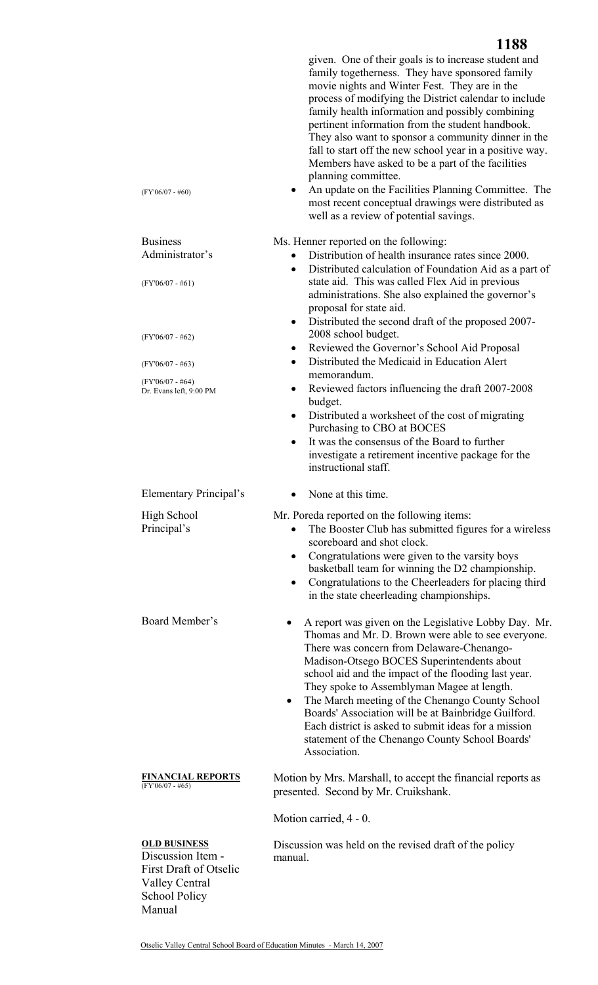|                                                                                                                            | 1188                                                                                                                                                                                                                                                                                                                                                                                                                                                                                                                                                                                                                                                                             |
|----------------------------------------------------------------------------------------------------------------------------|----------------------------------------------------------------------------------------------------------------------------------------------------------------------------------------------------------------------------------------------------------------------------------------------------------------------------------------------------------------------------------------------------------------------------------------------------------------------------------------------------------------------------------------------------------------------------------------------------------------------------------------------------------------------------------|
| $(FY'06/07 - #60)$                                                                                                         | given. One of their goals is to increase student and<br>family togetherness. They have sponsored family<br>movie nights and Winter Fest. They are in the<br>process of modifying the District calendar to include<br>family health information and possibly combining<br>pertinent information from the student handbook.<br>They also want to sponsor a community dinner in the<br>fall to start off the new school year in a positive way.<br>Members have asked to be a part of the facilities<br>planning committee.<br>An update on the Facilities Planning Committee. The<br>most recent conceptual drawings were distributed as<br>well as a review of potential savings. |
| <b>Business</b>                                                                                                            | Ms. Henner reported on the following:                                                                                                                                                                                                                                                                                                                                                                                                                                                                                                                                                                                                                                            |
| Administrator's                                                                                                            | Distribution of health insurance rates since 2000.<br>$\bullet$                                                                                                                                                                                                                                                                                                                                                                                                                                                                                                                                                                                                                  |
| $(FY'06/07 - #61)$                                                                                                         | Distributed calculation of Foundation Aid as a part of<br>$\bullet$<br>state aid. This was called Flex Aid in previous<br>administrations. She also explained the governor's<br>proposal for state aid.                                                                                                                                                                                                                                                                                                                                                                                                                                                                          |
|                                                                                                                            | Distributed the second draft of the proposed 2007-<br>$\bullet$<br>2008 school budget.                                                                                                                                                                                                                                                                                                                                                                                                                                                                                                                                                                                           |
| $(FY'06/07 - #62)$                                                                                                         | Reviewed the Governor's School Aid Proposal<br>$\bullet$                                                                                                                                                                                                                                                                                                                                                                                                                                                                                                                                                                                                                         |
| $(FY'06/07 - #63)$                                                                                                         | Distributed the Medicaid in Education Alert<br>$\bullet$<br>memorandum.                                                                                                                                                                                                                                                                                                                                                                                                                                                                                                                                                                                                          |
| $(FY'06/07 - #64)$<br>Dr. Evans left, 9:00 PM                                                                              | Reviewed factors influencing the draft 2007-2008<br>٠<br>budget.                                                                                                                                                                                                                                                                                                                                                                                                                                                                                                                                                                                                                 |
|                                                                                                                            | Distributed a worksheet of the cost of migrating<br>$\bullet$<br>Purchasing to CBO at BOCES                                                                                                                                                                                                                                                                                                                                                                                                                                                                                                                                                                                      |
|                                                                                                                            | It was the consensus of the Board to further<br>$\bullet$<br>investigate a retirement incentive package for the<br>instructional staff.                                                                                                                                                                                                                                                                                                                                                                                                                                                                                                                                          |
| <b>Elementary Principal's</b>                                                                                              | None at this time.                                                                                                                                                                                                                                                                                                                                                                                                                                                                                                                                                                                                                                                               |
| <b>High School</b><br>Principal's                                                                                          | Mr. Poreda reported on the following items:<br>The Booster Club has submitted figures for a wireless<br>$\bullet$<br>scoreboard and shot clock.<br>Congratulations were given to the varsity boys<br>$\bullet$<br>basketball team for winning the D2 championship.<br>Congratulations to the Cheerleaders for placing third<br>in the state cheerleading championships.                                                                                                                                                                                                                                                                                                          |
| Board Member's                                                                                                             | A report was given on the Legislative Lobby Day. Mr.<br>Thomas and Mr. D. Brown were able to see everyone.<br>There was concern from Delaware-Chenango-<br>Madison-Otsego BOCES Superintendents about<br>school aid and the impact of the flooding last year.<br>They spoke to Assemblyman Magee at length.<br>The March meeting of the Chenango County School<br>$\bullet$<br>Boards' Association will be at Bainbridge Guilford.<br>Each district is asked to submit ideas for a mission<br>statement of the Chenango County School Boards'<br>Association.                                                                                                                    |
| <b>FINANCIAL REPORTS</b><br>$(FY'06/07 - #65)$                                                                             | Motion by Mrs. Marshall, to accept the financial reports as<br>presented. Second by Mr. Cruikshank.                                                                                                                                                                                                                                                                                                                                                                                                                                                                                                                                                                              |
|                                                                                                                            | Motion carried, 4 - 0.                                                                                                                                                                                                                                                                                                                                                                                                                                                                                                                                                                                                                                                           |
| <b>OLD BUSINESS</b><br>Discussion Item -<br><b>First Draft of Otselic</b><br><b>Valley Central</b><br><b>School Policy</b> | Discussion was held on the revised draft of the policy<br>manual.                                                                                                                                                                                                                                                                                                                                                                                                                                                                                                                                                                                                                |

Manual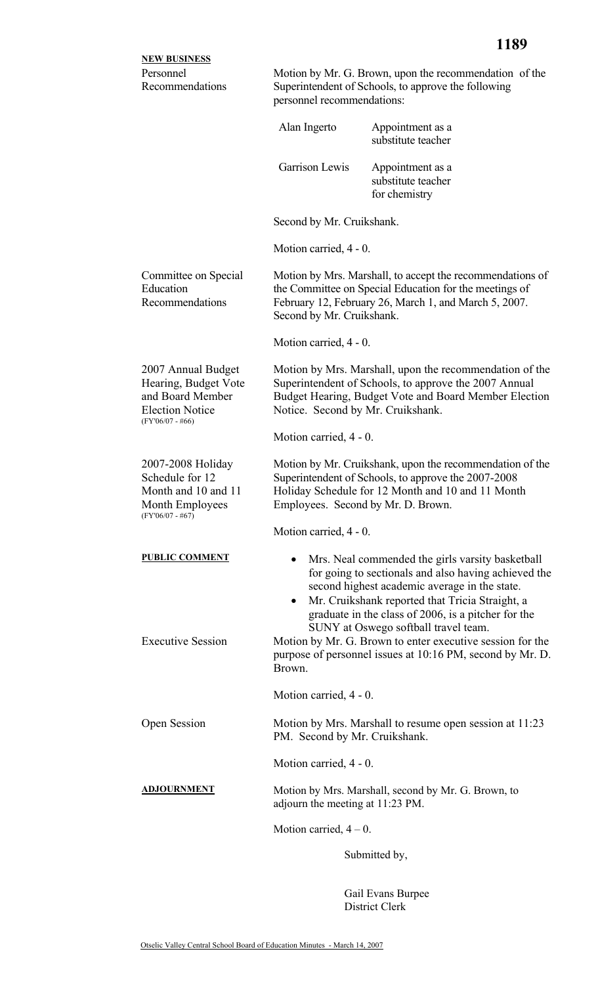| <b>NEW BUSINESS</b>                                                                                            |                                                                                                                                                                                                                                                                                                                  |                                                                                                                        |  |
|----------------------------------------------------------------------------------------------------------------|------------------------------------------------------------------------------------------------------------------------------------------------------------------------------------------------------------------------------------------------------------------------------------------------------------------|------------------------------------------------------------------------------------------------------------------------|--|
| Personnel<br>Recommendations                                                                                   | Motion by Mr. G. Brown, upon the recommendation of the<br>Superintendent of Schools, to approve the following<br>personnel recommendations:                                                                                                                                                                      |                                                                                                                        |  |
|                                                                                                                | Alan Ingerto                                                                                                                                                                                                                                                                                                     | Appointment as a<br>substitute teacher                                                                                 |  |
|                                                                                                                | Garrison Lewis                                                                                                                                                                                                                                                                                                   | Appointment as a<br>substitute teacher<br>for chemistry                                                                |  |
|                                                                                                                | Second by Mr. Cruikshank.                                                                                                                                                                                                                                                                                        |                                                                                                                        |  |
|                                                                                                                | Motion carried, 4 - 0.                                                                                                                                                                                                                                                                                           |                                                                                                                        |  |
| Committee on Special<br>Education<br>Recommendations                                                           | Motion by Mrs. Marshall, to accept the recommendations of<br>the Committee on Special Education for the meetings of<br>February 12, February 26, March 1, and March 5, 2007.<br>Second by Mr. Cruikshank.                                                                                                        |                                                                                                                        |  |
|                                                                                                                | Motion carried, 4 - 0.                                                                                                                                                                                                                                                                                           |                                                                                                                        |  |
| 2007 Annual Budget<br>Hearing, Budget Vote<br>and Board Member<br><b>Election Notice</b><br>$(FY'06/07 - #66)$ | Motion by Mrs. Marshall, upon the recommendation of the<br>Superintendent of Schools, to approve the 2007 Annual<br>Budget Hearing, Budget Vote and Board Member Election<br>Notice. Second by Mr. Cruikshank.                                                                                                   |                                                                                                                        |  |
|                                                                                                                | Motion carried, 4 - 0.                                                                                                                                                                                                                                                                                           |                                                                                                                        |  |
| 2007-2008 Holiday<br>Schedule for 12<br>Month and 10 and 11<br>Month Employees<br>$(FY'06/07 - #67)$           | Motion by Mr. Cruikshank, upon the recommendation of the<br>Superintendent of Schools, to approve the 2007-2008<br>Holiday Schedule for 12 Month and 10 and 11 Month<br>Employees. Second by Mr. D. Brown.                                                                                                       |                                                                                                                        |  |
|                                                                                                                | Motion carried, 4 - 0.                                                                                                                                                                                                                                                                                           |                                                                                                                        |  |
| <b>PUBLIC COMMENT</b>                                                                                          | Mrs. Neal commended the girls varsity basketball<br>for going to sectionals and also having achieved the<br>second highest academic average in the state.<br>Mr. Cruikshank reported that Tricia Straight, a<br>٠<br>graduate in the class of 2006, is a pitcher for the<br>SUNY at Oswego softball travel team. |                                                                                                                        |  |
| <b>Executive Session</b>                                                                                       | Brown.                                                                                                                                                                                                                                                                                                           | Motion by Mr. G. Brown to enter executive session for the<br>purpose of personnel issues at 10:16 PM, second by Mr. D. |  |
|                                                                                                                | Motion carried, 4 - 0.                                                                                                                                                                                                                                                                                           |                                                                                                                        |  |
| Open Session                                                                                                   | Motion by Mrs. Marshall to resume open session at 11:23<br>PM. Second by Mr. Cruikshank.                                                                                                                                                                                                                         |                                                                                                                        |  |
|                                                                                                                | Motion carried, 4 - 0.                                                                                                                                                                                                                                                                                           |                                                                                                                        |  |
| <u>ADJOURNMENT</u>                                                                                             | Motion by Mrs. Marshall, second by Mr. G. Brown, to<br>adjourn the meeting at 11:23 PM.                                                                                                                                                                                                                          |                                                                                                                        |  |
|                                                                                                                | Motion carried, $4 - 0$ .                                                                                                                                                                                                                                                                                        |                                                                                                                        |  |
|                                                                                                                |                                                                                                                                                                                                                                                                                                                  | Submitted by,                                                                                                          |  |

Gail Evans Burpee District Clerk